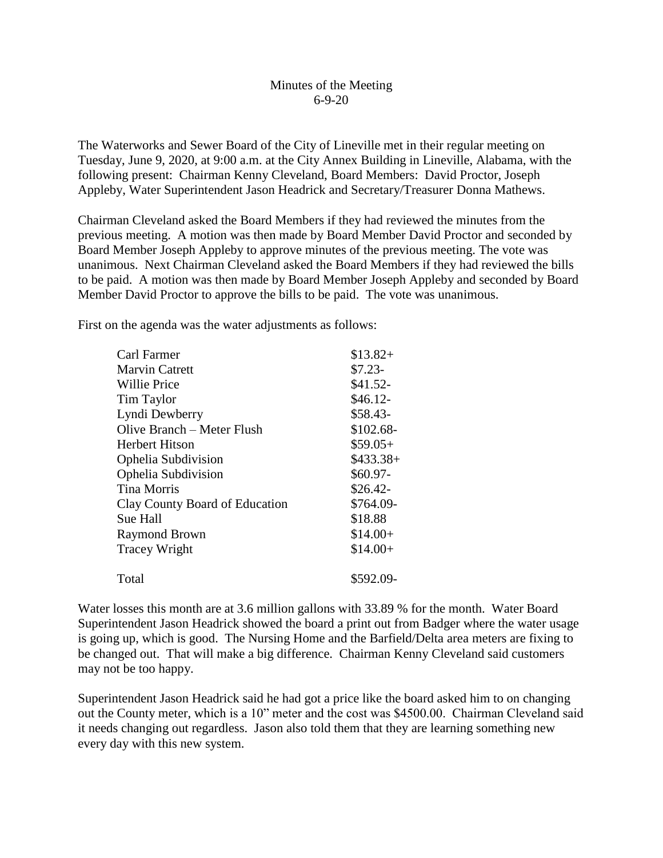## Minutes of the Meeting 6-9-20

The Waterworks and Sewer Board of the City of Lineville met in their regular meeting on Tuesday, June 9, 2020, at 9:00 a.m. at the City Annex Building in Lineville, Alabama, with the following present: Chairman Kenny Cleveland, Board Members: David Proctor, Joseph Appleby, Water Superintendent Jason Headrick and Secretary/Treasurer Donna Mathews.

Chairman Cleveland asked the Board Members if they had reviewed the minutes from the previous meeting. A motion was then made by Board Member David Proctor and seconded by Board Member Joseph Appleby to approve minutes of the previous meeting. The vote was unanimous. Next Chairman Cleveland asked the Board Members if they had reviewed the bills to be paid. A motion was then made by Board Member Joseph Appleby and seconded by Board Member David Proctor to approve the bills to be paid. The vote was unanimous.

First on the agenda was the water adjustments as follows:

| Carl Farmer                    | $$13.82+$  |
|--------------------------------|------------|
| <b>Marvin Catrett</b>          | $$7.23-$   |
| <b>Willie Price</b>            | $$41.52-$  |
| <b>Tim Taylor</b>              | $$46.12-$  |
| Lyndi Dewberry                 | \$58.43-   |
| Olive Branch – Meter Flush     | $$102.68-$ |
| Herbert Hitson                 | $$59.05+$  |
| Ophelia Subdivision            | $$433.38+$ |
| Ophelia Subdivision            | $$60.97-$  |
| <b>Tina Morris</b>             | $$26.42-$  |
| Clay County Board of Education | \$764.09-  |
| Sue Hall                       | \$18.88    |
| <b>Raymond Brown</b>           | $$14.00+$  |
| <b>Tracey Wright</b>           | $$14.00+$  |
| Total                          | \$592.09-  |

Water losses this month are at 3.6 million gallons with 33.89 % for the month. Water Board Superintendent Jason Headrick showed the board a print out from Badger where the water usage is going up, which is good. The Nursing Home and the Barfield/Delta area meters are fixing to be changed out. That will make a big difference. Chairman Kenny Cleveland said customers may not be too happy.

Superintendent Jason Headrick said he had got a price like the board asked him to on changing out the County meter, which is a 10" meter and the cost was \$4500.00. Chairman Cleveland said it needs changing out regardless. Jason also told them that they are learning something new every day with this new system.